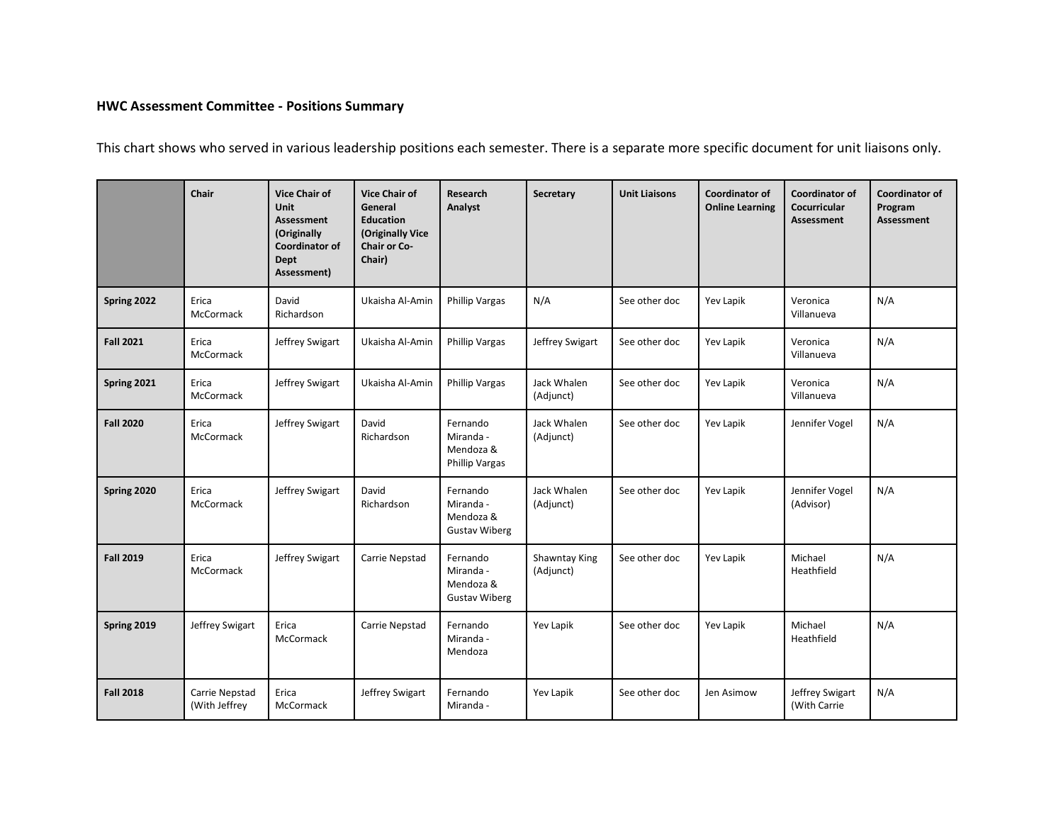## **HWC Assessment Committee - Positions Summary**

This chart shows who served in various leadership positions each semester. There is a separate more specific document for unit liaisons only.

|                  | Chair                           | <b>Vice Chair of</b><br><b>Unit</b><br><b>Assessment</b><br>(Originally<br><b>Coordinator of</b><br><b>Dept</b><br>Assessment) | <b>Vice Chair of</b><br>General<br><b>Education</b><br>(Originally Vice<br><b>Chair or Co-</b><br>Chair) | Research<br>Analyst                                         | Secretary                  | <b>Unit Liaisons</b> | <b>Coordinator of</b><br><b>Online Learning</b> | <b>Coordinator of</b><br>Cocurricular<br>Assessment | Coordinator of<br>Program<br><b>Assessment</b> |
|------------------|---------------------------------|--------------------------------------------------------------------------------------------------------------------------------|----------------------------------------------------------------------------------------------------------|-------------------------------------------------------------|----------------------------|----------------------|-------------------------------------------------|-----------------------------------------------------|------------------------------------------------|
| Spring 2022      | Erica<br>McCormack              | David<br>Richardson                                                                                                            | Ukaisha Al-Amin                                                                                          | <b>Phillip Vargas</b>                                       | N/A                        | See other doc        | Yev Lapik                                       | Veronica<br>Villanueva                              | N/A                                            |
| <b>Fall 2021</b> | Erica<br>McCormack              | Jeffrey Swigart                                                                                                                | Ukaisha Al-Amin                                                                                          | <b>Phillip Vargas</b>                                       | Jeffrey Swigart            | See other doc        | Yev Lapik                                       | Veronica<br>Villanueva                              | N/A                                            |
| Spring 2021      | Erica<br>McCormack              | Jeffrey Swigart                                                                                                                | Ukaisha Al-Amin                                                                                          | <b>Phillip Vargas</b>                                       | Jack Whalen<br>(Adjunct)   | See other doc        | Yev Lapik                                       | Veronica<br>Villanueva                              | N/A                                            |
| <b>Fall 2020</b> | Erica<br>McCormack              | Jeffrey Swigart                                                                                                                | David<br>Richardson                                                                                      | Fernando<br>Miranda -<br>Mendoza &<br><b>Phillip Vargas</b> | Jack Whalen<br>(Adjunct)   | See other doc        | Yev Lapik                                       | Jennifer Vogel                                      | N/A                                            |
| Spring 2020      | Erica<br>McCormack              | Jeffrey Swigart                                                                                                                | David<br>Richardson                                                                                      | Fernando<br>Miranda -<br>Mendoza &<br><b>Gustav Wiberg</b>  | Jack Whalen<br>(Adjunct)   | See other doc        | Yev Lapik                                       | Jennifer Vogel<br>(Advisor)                         | N/A                                            |
| <b>Fall 2019</b> | Erica<br>McCormack              | Jeffrey Swigart                                                                                                                | Carrie Nepstad                                                                                           | Fernando<br>Miranda -<br>Mendoza &<br><b>Gustav Wiberg</b>  | Shawntay King<br>(Adjunct) | See other doc        | Yev Lapik                                       | Michael<br>Heathfield                               | N/A                                            |
| Spring 2019      | Jeffrey Swigart                 | Erica<br>McCormack                                                                                                             | Carrie Nepstad                                                                                           | Fernando<br>Miranda -<br>Mendoza                            | Yev Lapik                  | See other doc        | Yev Lapik                                       | Michael<br>Heathfield                               | N/A                                            |
| <b>Fall 2018</b> | Carrie Nepstad<br>(With Jeffrey | Erica<br>McCormack                                                                                                             | Jeffrey Swigart                                                                                          | Fernando<br>Miranda -                                       | Yev Lapik                  | See other doc        | Jen Asimow                                      | Jeffrey Swigart<br>(With Carrie                     | N/A                                            |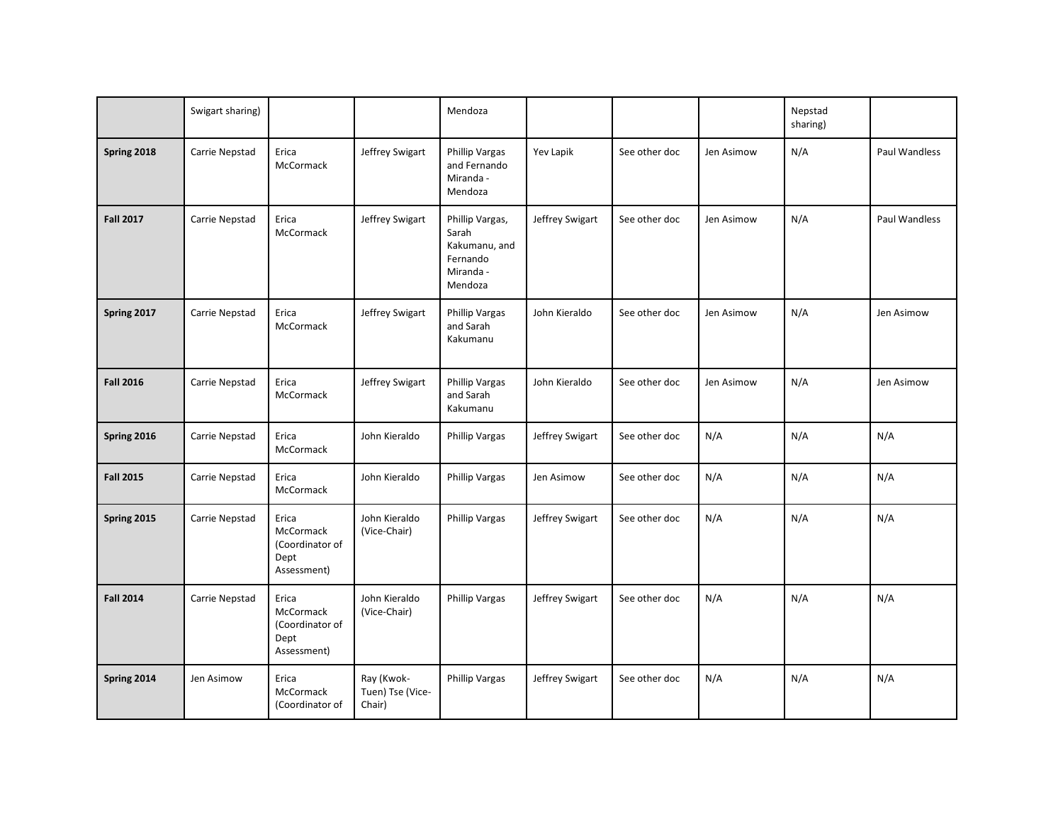|                  | Swigart sharing) |                                                              |                                          | Mendoza                                                                       |                 |               |            | Nepstad<br>sharing) |               |
|------------------|------------------|--------------------------------------------------------------|------------------------------------------|-------------------------------------------------------------------------------|-----------------|---------------|------------|---------------------|---------------|
| Spring 2018      | Carrie Nepstad   | Erica<br>McCormack                                           | Jeffrey Swigart                          | Phillip Vargas<br>and Fernando<br>Miranda -<br>Mendoza                        | Yev Lapik       | See other doc | Jen Asimow | N/A                 | Paul Wandless |
| <b>Fall 2017</b> | Carrie Nepstad   | Erica<br>McCormack                                           | Jeffrey Swigart                          | Phillip Vargas,<br>Sarah<br>Kakumanu, and<br>Fernando<br>Miranda -<br>Mendoza | Jeffrey Swigart | See other doc | Jen Asimow | N/A                 | Paul Wandless |
| Spring 2017      | Carrie Nepstad   | Erica<br>McCormack                                           | Jeffrey Swigart                          | Phillip Vargas<br>and Sarah<br>Kakumanu                                       | John Kieraldo   | See other doc | Jen Asimow | N/A                 | Jen Asimow    |
| <b>Fall 2016</b> | Carrie Nepstad   | Erica<br>McCormack                                           | Jeffrey Swigart                          | Phillip Vargas<br>and Sarah<br>Kakumanu                                       | John Kieraldo   | See other doc | Jen Asimow | N/A                 | Jen Asimow    |
| Spring 2016      | Carrie Nepstad   | Erica<br>McCormack                                           | John Kieraldo                            | Phillip Vargas                                                                | Jeffrey Swigart | See other doc | N/A        | N/A                 | N/A           |
| <b>Fall 2015</b> | Carrie Nepstad   | Erica<br>McCormack                                           | John Kieraldo                            | Phillip Vargas                                                                | Jen Asimow      | See other doc | N/A        | N/A                 | N/A           |
| Spring 2015      | Carrie Nepstad   | Erica<br>McCormack<br>(Coordinator of<br>Dept<br>Assessment) | John Kieraldo<br>(Vice-Chair)            | <b>Phillip Vargas</b>                                                         | Jeffrey Swigart | See other doc | N/A        | N/A                 | N/A           |
| <b>Fall 2014</b> | Carrie Nepstad   | Erica<br>McCormack<br>(Coordinator of<br>Dept<br>Assessment) | John Kieraldo<br>(Vice-Chair)            | <b>Phillip Vargas</b>                                                         | Jeffrey Swigart | See other doc | N/A        | N/A                 | N/A           |
| Spring 2014      | Jen Asimow       | Erica<br>McCormack<br>(Coordinator of                        | Ray (Kwok-<br>Tuen) Tse (Vice-<br>Chair) | Phillip Vargas                                                                | Jeffrey Swigart | See other doc | N/A        | N/A                 | N/A           |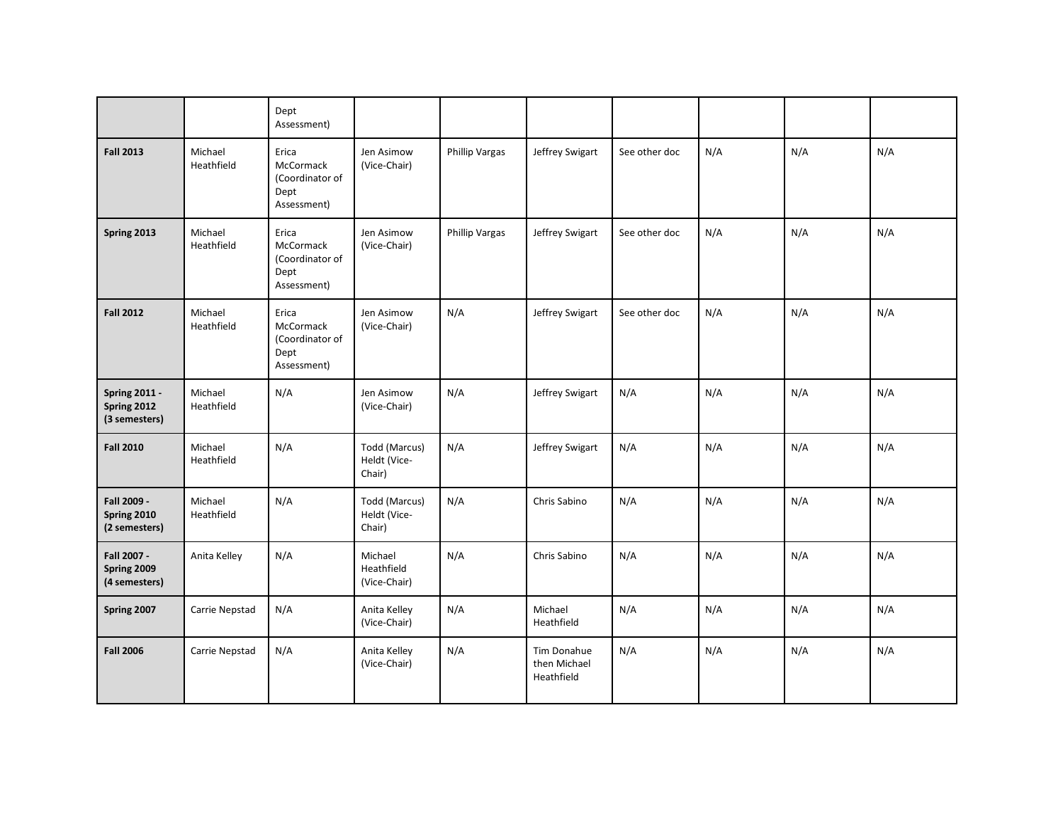|                                                      |                       | Dept<br>Assessment)                                          |                                         |                       |                                                  |               |     |     |     |
|------------------------------------------------------|-----------------------|--------------------------------------------------------------|-----------------------------------------|-----------------------|--------------------------------------------------|---------------|-----|-----|-----|
| <b>Fall 2013</b>                                     | Michael<br>Heathfield | Erica<br>McCormack<br>(Coordinator of<br>Dept<br>Assessment) | Jen Asimow<br>(Vice-Chair)              | <b>Phillip Vargas</b> | Jeffrey Swigart                                  | See other doc | N/A | N/A | N/A |
| Spring 2013                                          | Michael<br>Heathfield | Erica<br>McCormack<br>(Coordinator of<br>Dept<br>Assessment) | Jen Asimow<br>(Vice-Chair)              | <b>Phillip Vargas</b> | Jeffrey Swigart                                  | See other doc | N/A | N/A | N/A |
| <b>Fall 2012</b>                                     | Michael<br>Heathfield | Erica<br>McCormack<br>(Coordinator of<br>Dept<br>Assessment) | Jen Asimow<br>(Vice-Chair)              | N/A                   | Jeffrey Swigart                                  | See other doc | N/A | N/A | N/A |
| <b>Spring 2011 -</b><br>Spring 2012<br>(3 semesters) | Michael<br>Heathfield | N/A                                                          | Jen Asimow<br>(Vice-Chair)              | N/A                   | Jeffrey Swigart                                  | N/A           | N/A | N/A | N/A |
| <b>Fall 2010</b>                                     | Michael<br>Heathfield | N/A                                                          | Todd (Marcus)<br>Heldt (Vice-<br>Chair) | N/A                   | Jeffrey Swigart                                  | N/A           | N/A | N/A | N/A |
| Fall 2009 -<br>Spring 2010<br>(2 semesters)          | Michael<br>Heathfield | N/A                                                          | Todd (Marcus)<br>Heldt (Vice-<br>Chair) | N/A                   | Chris Sabino                                     | N/A           | N/A | N/A | N/A |
| Fall 2007 -<br>Spring 2009<br>(4 semesters)          | Anita Kelley          | N/A                                                          | Michael<br>Heathfield<br>(Vice-Chair)   | N/A                   | Chris Sabino                                     | N/A           | N/A | N/A | N/A |
| Spring 2007                                          | Carrie Nepstad        | N/A                                                          | Anita Kelley<br>(Vice-Chair)            | N/A                   | Michael<br>Heathfield                            | N/A           | N/A | N/A | N/A |
| <b>Fall 2006</b>                                     | Carrie Nepstad        | N/A                                                          | Anita Kelley<br>(Vice-Chair)            | N/A                   | <b>Tim Donahue</b><br>then Michael<br>Heathfield | N/A           | N/A | N/A | N/A |